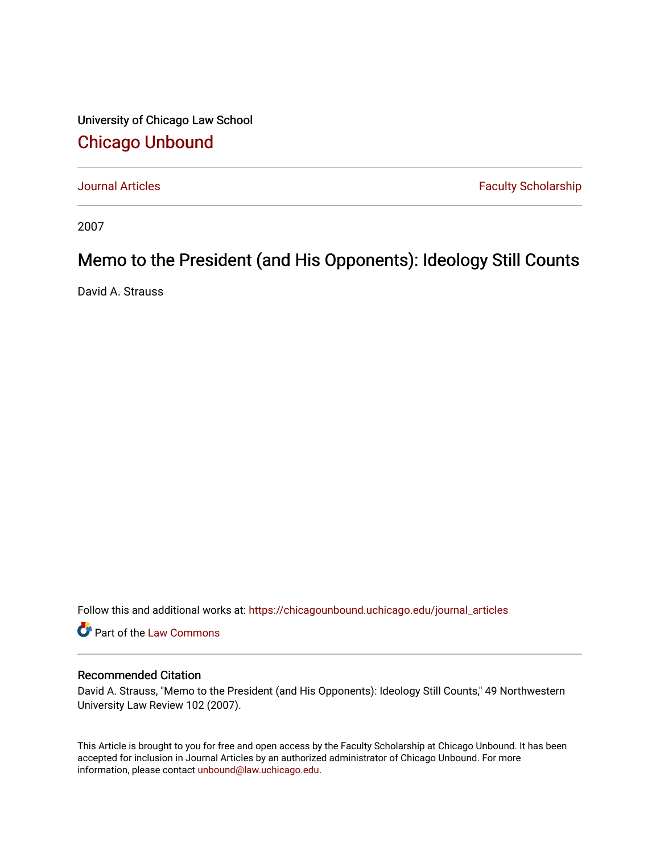University of Chicago Law School [Chicago Unbound](https://chicagounbound.uchicago.edu/)

[Journal Articles](https://chicagounbound.uchicago.edu/journal_articles) **Faculty Scholarship Journal Articles** 

2007

## Memo to the President (and His Opponents): Ideology Still Counts

David A. Strauss

Follow this and additional works at: [https://chicagounbound.uchicago.edu/journal\\_articles](https://chicagounbound.uchicago.edu/journal_articles?utm_source=chicagounbound.uchicago.edu%2Fjournal_articles%2F389&utm_medium=PDF&utm_campaign=PDFCoverPages) 

Part of the [Law Commons](http://network.bepress.com/hgg/discipline/578?utm_source=chicagounbound.uchicago.edu%2Fjournal_articles%2F389&utm_medium=PDF&utm_campaign=PDFCoverPages)

## Recommended Citation

David A. Strauss, "Memo to the President (and His Opponents): Ideology Still Counts," 49 Northwestern University Law Review 102 (2007).

This Article is brought to you for free and open access by the Faculty Scholarship at Chicago Unbound. It has been accepted for inclusion in Journal Articles by an authorized administrator of Chicago Unbound. For more information, please contact [unbound@law.uchicago.edu](mailto:unbound@law.uchicago.edu).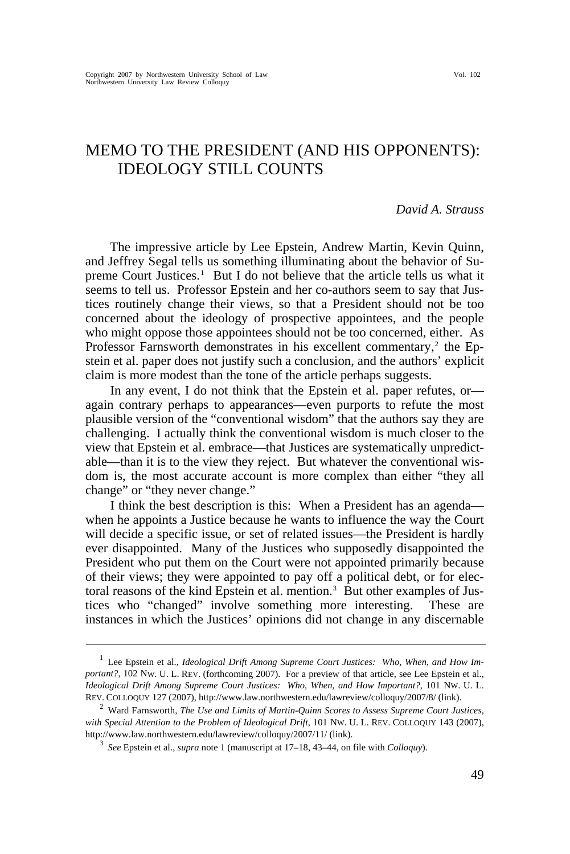## MEMO TO THE PRESIDENT (AND HIS OPPONENTS): IDEOLOGY STILL COUNTS

## *David A. Strauss*

The impressive article by Lee Epstein, Andrew Martin, Kevin Quinn, and Jeffrey Segal tells us something illuminating about the behavior of Su-preme Court Justices.<sup>[1](#page-1-0)</sup> But I do not believe that the article tells us what it seems to tell us. Professor Epstein and her co-authors seem to say that Justices routinely change their views, so that a President should not be too concerned about the ideology of prospective appointees, and the people who might oppose those appointees should not be too concerned, either. As Professor Farnsworth demonstrates in his excellent commentary,<sup>[2](#page-1-1)</sup> the Epstein et al. paper does not justify such a conclusion, and the authors' explicit claim is more modest than the tone of the article perhaps suggests.

In any event, I do not think that the Epstein et al. paper refutes, or again contrary perhaps to appearances—even purports to refute the most plausible version of the "conventional wisdom" that the authors say they are challenging. I actually think the conventional wisdom is much closer to the view that Epstein et al. embrace—that Justices are systematically unpredictable—than it is to the view they reject. But whatever the conventional wisdom is, the most accurate account is more complex than either "they all change" or "they never change."

I think the best description is this: When a President has an agenda when he appoints a Justice because he wants to influence the way the Court will decide a specific issue, or set of related issues—the President is hardly ever disappointed. Many of the Justices who supposedly disappointed the President who put them on the Court were not appointed primarily because of their views; they were appointed to pay off a political debt, or for elec-toral reasons of the kind Epstein et al. mention.<sup>[3](#page-1-2)</sup> But other examples of Justices who "changed" involve something more interesting. These are instances in which the Justices' opinions did not change in any discernable

<span id="page-1-0"></span><sup>&</sup>lt;sup>1</sup> Lee Epstein et al., *Ideological Drift Among Supreme Court Justices: Who, When, and How Important?*, 102 NW. U. L. REV. (forthcoming 2007). For a preview of that article, see Lee Epstein et al., *Ideological Drift Among Supreme Court Justices: Who, When, and How Important?*, 101 NW. U. L. REV. COLLOQUY 127 (2007), http://www.law.northwestern.edu/lawreview/colloquy/2007/8/ [\(link\)](http://www.law.northwestern.edu/lawreview/colloquy/2007/8/). 2

<span id="page-1-2"></span><span id="page-1-1"></span>Ward Farnsworth, *The Use and Limits of Martin-Quinn Scores to Assess Supreme Court Justices,*  with Special Attention to the Problem of Ideological Drift, 101 Nw. U. L. REV. COLLOQUY 143 (2007), http://www.law.northwestern.edu/lawreview/colloquy/2007/11/ [\(link\).](http://www.law.northwestern.edu/lawreview/colloquy/2007/11/) 3

*See* Epstein et al., *supra* note 1 (manuscript at 17–18, 43–44, on file with *Colloquy*).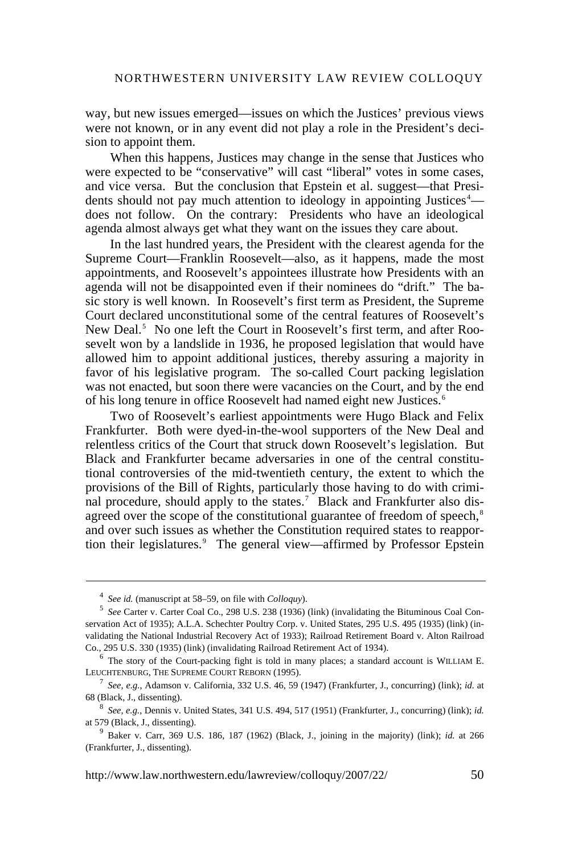way, but new issues emerged—issues on which the Justices' previous views were not known, or in any event did not play a role in the President's decision to appoint them.

When this happens, Justices may change in the sense that Justices who were expected to be "conservative" will cast "liberal" votes in some cases, and vice versa. But the conclusion that Epstein et al. suggest—that Presi-dents should not pay much attention to ideology in appointing Justices<sup>[4](#page-2-0)</sup> does not follow. On the contrary: Presidents who have an ideological agenda almost always get what they want on the issues they care about.

In the last hundred years, the President with the clearest agenda for the Supreme Court—Franklin Roosevelt—also, as it happens, made the most appointments, and Roosevelt's appointees illustrate how Presidents with an agenda will not be disappointed even if their nominees do "drift." The basic story is well known. In Roosevelt's first term as President, the Supreme Court declared unconstitutional some of the central features of Roosevelt's New Deal.<sup>[5](#page-2-1)</sup> No one left the Court in Roosevelt's first term, and after Roosevelt won by a landslide in 1936, he proposed legislation that would have allowed him to appoint additional justices, thereby assuring a majority in favor of his legislative program. The so-called Court packing legislation was not enacted, but soon there were vacancies on the Court, and by the end of his long tenure in office Roosevelt had named eight new Justices.<sup>[6](#page-2-2)</sup>

Two of Roosevelt's earliest appointments were Hugo Black and Felix Frankfurter. Both were dyed-in-the-wool supporters of the New Deal and relentless critics of the Court that struck down Roosevelt's legislation. But Black and Frankfurter became adversaries in one of the central constitutional controversies of the mid-twentieth century, the extent to which the provisions of the Bill of Rights, particularly those having to do with crimi-nal procedure, should apply to the states.<sup>[7](#page-2-3)</sup> Black and Frankfurter also dis-agreed over the scope of the constitutional guarantee of freedom of speech.<sup>[8](#page-2-4)</sup> and over such issues as whether the Constitution required states to reappor-tion their legislatures.<sup>[9](#page-2-5)</sup> The general view—affirmed by Professor Epstein

<sup>&</sup>lt;sup>4</sup> See id. (manuscript at 58–59, on file with *Colloquy*).<br><sup>5</sup> See Cortagu Cortag Cool Co., 209, U.S. 228 (1026).

<span id="page-2-1"></span><span id="page-2-0"></span><sup>&</sup>lt;sup>5</sup> See Carter v. Carter Coal Co., 298 U.S. 238 (1936) [\(link\)](http://www.law.cornell.edu/supct/html/historics/USSC_CR_0298_0238_ZS.html) (invalidating the Bituminous Coal Con-servation Act of 1935); A.L.A. Schechter Poultry Corp. v. United States, 295 U.S. 495 (1935) [\(link\)](http://www.law.cornell.edu/supct/html/historics/USSC_CR_0295_0495_ZS.html) (invalidating the National Industrial Recovery Act of 1933); Railroad Retirement Board v. Alton Railroad Co., 295 U.S. 330 (1935) [\(link\)](http://supreme.justia.com/us/295/330/) (invalidating Railroad Retirement Act of 1934).

<span id="page-2-2"></span> $6$  The story of the Court-packing fight is told in many places; a standard account is WILLIAM E. LEUCHTENBURG, THE SUPREME COURT REBORN (1995).

<span id="page-2-3"></span>*See, e.g.*, Adamson v. California, 332 U.S. 46, 59 (1947) (Frankfurter, J., concurring) [\(link\)](http://www.law.cornell.edu/supct/html/historics/USSC_CR_0332_0046_ZS.html); *id.* at 68 (Black, J., dissenting). 8

<span id="page-2-4"></span>*See, e.g.*, Dennis v. United States, 341 U.S. 494, 517 (1951) (Frankfurter, J., concurring) [\(link\);](http://www.law.cornell.edu/supct/html/historics/USSC_CR_0341_0494_ZS.html) *id.* at 579 (Black, J., dissenting). 9

<span id="page-2-5"></span> $9$  Baker v. Carr, 369 U.S. 186, 187 (1962) (Black, J., joining in the majority) [\(link\);](http://www.law.cornell.edu/supct/html/historics/USSC_CR_0369_0186_ZS.html) *id.* at 266 (Frankfurter, J., dissenting).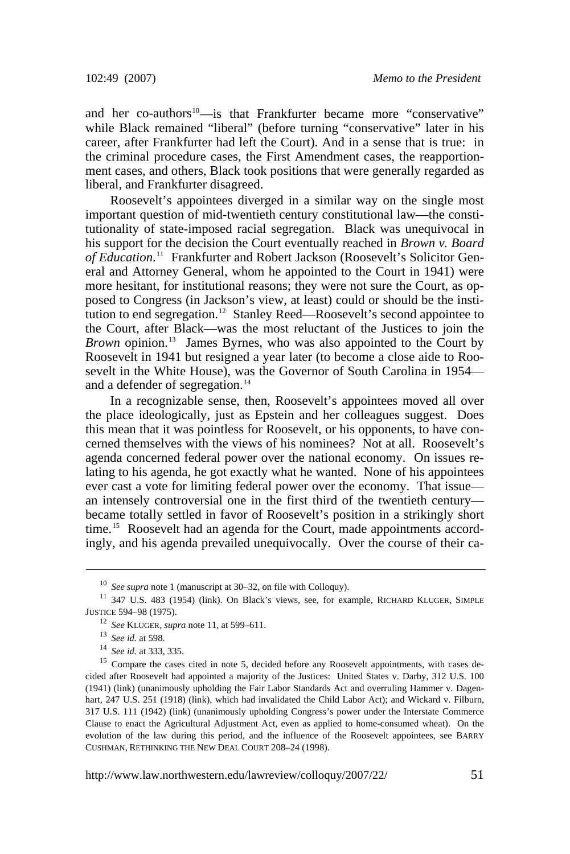and her co-authors<sup>[10](#page-3-0)</sup>—is that Frankfurter became more "conservative" while Black remained "liberal" (before turning "conservative" later in his career, after Frankfurter had left the Court). And in a sense that is true: in the criminal procedure cases, the First Amendment cases, the reapportionment cases, and others, Black took positions that were generally regarded as liberal, and Frankfurter disagreed.

Roosevelt's appointees diverged in a similar way on the single most important question of mid-twentieth century constitutional law—the constitutionality of state-imposed racial segregation. Black was unequivocal in his support for the decision the Court eventually reached in *Brown v. Board of Education*. [11](#page-3-1) Frankfurter and Robert Jackson (Roosevelt's Solicitor General and Attorney General, whom he appointed to the Court in 1941) were more hesitant, for institutional reasons; they were not sure the Court, as opposed to Congress (in Jackson's view, at least) could or should be the insti-tution to end segregation.<sup>[12](#page-3-2)</sup> Stanley Reed—Roosevelt's second appointee to the Court, after Black—was the most reluctant of the Justices to join the *Brown* opinion.<sup>[13](#page-3-3)</sup> James Byrnes, who was also appointed to the Court by Roosevelt in 1941 but resigned a year later (to become a close aide to Roosevelt in the White House), was the Governor of South Carolina in 1954— and a defender of segregation.<sup>[14](#page-3-4)</sup>

In a recognizable sense, then, Roosevelt's appointees moved all over the place ideologically, just as Epstein and her colleagues suggest. Does this mean that it was pointless for Roosevelt, or his opponents, to have concerned themselves with the views of his nominees? Not at all. Roosevelt's agenda concerned federal power over the national economy. On issues relating to his agenda, he got exactly what he wanted. None of his appointees ever cast a vote for limiting federal power over the economy. That issue an intensely controversial one in the first third of the twentieth century became totally settled in favor of Roosevelt's position in a strikingly short time.<sup>[15](#page-3-5)</sup> Roosevelt had an agenda for the Court, made appointments accordingly, and his agenda prevailed unequivocally. Over the course of their ca-

http://www.law.northwestern.edu/lawreview/colloquy/2007/22/ 51

<span id="page-3-2"></span><span id="page-3-1"></span><span id="page-3-0"></span><sup>&</sup>lt;sup>10</sup> See supra note 1 (manuscript at 30–32, on file with Colloquy).<br><sup>11</sup> 347 U.S. 483 (1954) [\(link\).](http://www.law.cornell.edu/supct-cgi/get-us-cite?347+483) On Black's views, see, for example, RICHARD KLUGER, SIMPLE JUSTICE 594–98 (1975).<br>
<sup>12</sup> See KLUGER, supra note 11, at 599–611.<br>
<sup>13</sup> See id. at 598.<br>
<sup>14</sup> See id. at 333, 335.<br>
<sup>15</sup> Compare the cases cited in note 5, decided before any Roosevelt appointments, with cases de-

<span id="page-3-5"></span><span id="page-3-4"></span><span id="page-3-3"></span>cided after Roosevelt had appointed a majority of the Justices: United States v. Darby, 312 U.S. 100 (1941) [\(link\)](http://www.law.cornell.edu/supct/html/historics/USSC_CR_0312_0100_ZS.html) (unanimously upholding the Fair Labor Standards Act and overruling Hammer v. Dagenhart, 247 U.S. 251 (1918) [\(link\),](http://www.law.cornell.edu/supct/html/historics/USSC_CR_0247_0251_ZD.html) which had invalidated the Child Labor Act); and Wickard v. Filburn, 317 U.S. 111 (1942) [\(link\)](http://www.law.cornell.edu/supct-cgi/get-us-cite?317+111) (unanimously upholding Congress's power under the Interstate Commerce Clause to enact the Agricultural Adjustment Act, even as applied to home-consumed wheat). On the evolution of the law during this period, and the influence of the Roosevelt appointees, see BARRY CUSHMAN, RETHINKING THE NEW DEAL COURT 208–24 (1998).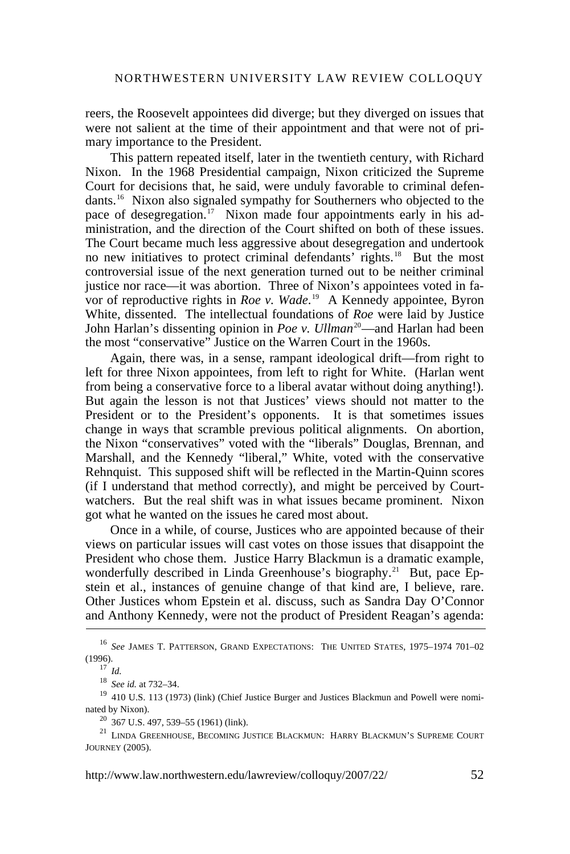reers, the Roosevelt appointees did diverge; but they diverged on issues that were not salient at the time of their appointment and that were not of primary importance to the President.

This pattern repeated itself, later in the twentieth century, with Richard Nixon. In the 1968 Presidential campaign, Nixon criticized the Supreme Court for decisions that, he said, were unduly favorable to criminal defendants.[16](#page-4-0) Nixon also signaled sympathy for Southerners who objected to the pace of desegregation.<sup>[17](#page-4-1)</sup> Nixon made four appointments early in his administration, and the direction of the Court shifted on both of these issues. The Court became much less aggressive about desegregation and undertook no new initiatives to protect criminal defendants' rights.<sup>[18](#page-4-2)</sup> But the most controversial issue of the next generation turned out to be neither criminal justice nor race—it was abortion. Three of Nixon's appointees voted in favor of reproductive rights in *Roe v. Wade*. [19](#page-4-3) A Kennedy appointee, Byron White, dissented. The intellectual foundations of *Roe* were laid by Justice John Harlan's dissenting opinion in *Poe v. Ullman*<sup>[20](#page-4-4)</sup>—and Harlan had been the most "conservative" Justice on the Warren Court in the 1960s.

Again, there was, in a sense, rampant ideological drift—from right to left for three Nixon appointees, from left to right for White. (Harlan went from being a conservative force to a liberal avatar without doing anything!). But again the lesson is not that Justices' views should not matter to the President or to the President's opponents. It is that sometimes issues change in ways that scramble previous political alignments. On abortion, the Nixon "conservatives" voted with the "liberals" Douglas, Brennan, and Marshall, and the Kennedy "liberal," White, voted with the conservative Rehnquist. This supposed shift will be reflected in the Martin-Ouinn scores (if I understand that method correctly), and might be perceived by Courtwatchers. But the real shift was in what issues became prominent. Nixon got what he wanted on the issues he cared most about.

Once in a while, of course, Justices who are appointed because of their views on particular issues will cast votes on those issues that disappoint the President who chose them. Justice Harry Blackmun is a dramatic example, wonderfully described in Linda Greenhouse's biography.<sup>[21](#page-4-5)</sup> But, pace  $Ep$ stein et al., instances of genuine change of that kind are, I believe, rare. Other Justices whom Epstein et al. discuss, such as Sandra Day O'Connor and Anthony Kennedy, were not the product of President Reagan's agenda:

http://www.law.northwestern.edu/lawreview/colloquy/2007/22/ 52

<span id="page-4-1"></span><span id="page-4-0"></span><sup>16</sup> *See* JAMES T. PATTERSON, GRAND EXPECTATIONS: THE UNITED STATES, 1975–1974 701–02 (1996). 17 *Id.*

<span id="page-4-3"></span><span id="page-4-2"></span><sup>&</sup>lt;sup>19</sup> 410 U.S. 113 (1973) [\(link\)](http://www.law.cornell.edu/supct/html/historics/USSC_CR_0410_0113_ZS.html) (Chief Justice Burger and Justices Blackmun and Powell were nominated by Nixon).  $^{20}$  367 U.S. 497, 539–55 (1961) [\(link\)](http://supreme.justia.com/us/367/497/). <br><sup>21</sup> LINDA GREENHOUSE, BECOMING JUSTICE BLACKMUN: HARRY BLACKMUN'S SUPREME COURT

<span id="page-4-5"></span><span id="page-4-4"></span>JOURNEY (2005).